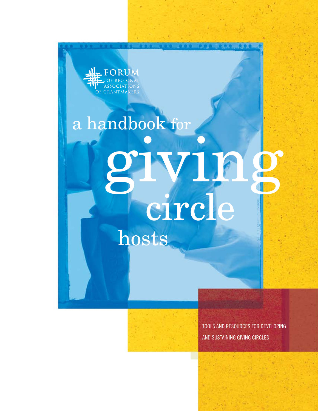FORUM GRANTMAKERS

# hosts a handbook for IVII.



Tools and Resources for Developing and Sustaining Giving Circles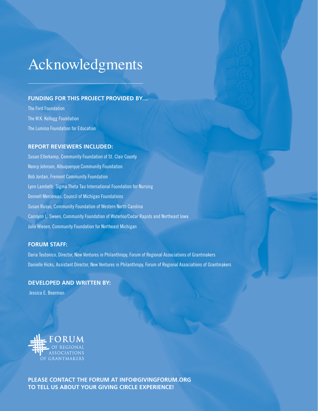# Acknowledgments

# **Funding for this project provided by…**

The Ford Foundation The W.K. Kellogg Foundation The Lumina Foundation for Education

# **Report reviewers included:**

Susan Ellerkamp, Community Foundation of St. Clair County Nancy Johnson, Albuquerque Community Foundation Bob Jordan, Fremont Community Foundation Lynn Lambeth, Sigma Theta Tau International Foundation for Nursing Donnell Mercereau, Council of Michigan Foundations Susan Russo, Community Foundation of Western North Carolina Carolynn L. Sween, Community Foundation of Waterloo/Cedar Rapids and Northeast Iowa Julie Wiesen, Community Foundation for Northeast Michigan

# **Forum Staff:**

Daria Teutonico, Director, New Ventures in Philanthropy, Forum of Regional Associations of Grantmakers Danielle Hicks, Assistant Director, New Ventures in Philanthropy, Forum of Regional Associations of Grantmakers

# **DEVELOPED AND WRITTEN BY:**

Jessica E. Bearman



**Please contact the Forum at info@givingforum.org to tell us about your giving circle experience!**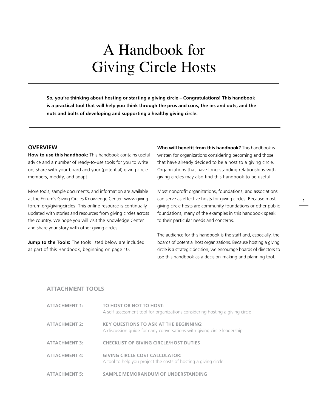# A Handbook for Giving Circle Hosts

**So, you're thinking about hosting or starting a giving circle – Congratulations! This handbook is a practical tool that will help you think through the pros and cons, the ins and outs, and the nuts and bolts of developing and supporting a healthy giving circle.** 

# **Overview**

**How to use this handbook:** This handbook contains useful advice and a number of ready-to-use tools for you to write on, share with your board and your (potential) giving circle members, modify, and adapt.

More tools, sample documents, and information are available at the Forum's Giving Circles Knowledge Center: [www.giving](www.givingforum.org/givingcircles) [forum.org/givingcircles.](www.givingforum.org/givingcircles) This online resource is continually updated with stories and resources from giving circles across the country. We hope you will visit the Knowledge Center and share your story with other giving circles.

**[Jump to the Tools:](#page-11-0)** The tools listed below are included as part of this Handbook, beginning on page 10.

**Who will benefit from this handbook?** This handbook is written for organizations considering becoming and those that have already decided to be a host to a giving circle. Organizations that have long-standing relationships with giving circles may also find this handbook to be useful.

Most nonprofit organizations, foundations, and associations can serve as effective hosts for giving circles. Because most giving circle hosts are community foundations or other public foundations, many of the examples in this handbook speak to their particular needs and concerns.

The audience for this handbook is the staff and, especially, the boards of potential host organizations. Because hosting a giving circle is a strategic decision, we encourage boards of directors to use this handbook as a decision-making and planning tool.

## **[Attachment Tools](#page-11-0)**

| <b>ATTACHMENT 1:</b> | TO HOST OR NOT TO HOST:<br>A self-assessment tool for organizations considering hosting a giving circle                   |
|----------------------|---------------------------------------------------------------------------------------------------------------------------|
| <b>ATTACHMENT 2:</b> | <b>KEY QUESTIONS TO ASK AT THE BEGINNING:</b><br>A discussion quide for early conversations with giving circle leadership |
| <b>ATTACHMENT 3:</b> | <b>CHECKLIST OF GIVING CIRCLE/HOST DUTIES</b>                                                                             |
| <b>ATTACHMENT 4:</b> | <b>GIVING CIRCLE COST CALCULATOR:</b><br>A tool to help you project the costs of hosting a giving circle                  |
| <b>ATTACHMENT 5:</b> | SAMPLE MEMORANDUM OF UNDERSTANDING                                                                                        |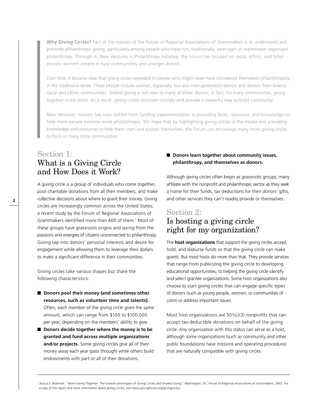**Why Giving Circles?** Part of the mission of the Forum of Regional Associations of Grantmakers is to understand and promote philanthropic giving, particularly among people who have not, traditionally, been part of mainstream organized philanthropy. Through its New Ventures in Philanthropy initiative, the Forum has focused on racial, ethnic, and tribal donors; women; people in rural communities; and younger donors.

Over time, it became clear that giving circles appealed to people who might never have considered themselves philanthropists in the traditional sense. These people include women, especially, but also next-generation donors and donors from diverse racial and ethnic communities. Shared giving is not new to many of these donors; in fact, for many communities, giving together is the norm. As a result, giving circles resonate strongly and provide a powerful way to build community.

New Ventures' mission has now shifted from funding experimentation to providing tools, resources, and knowledge to help more people become more philanthropic. We hope that by highlighting giving circles in the media and providing knowledge and resources to help them start and sustain themselves, the Forum can encourage many more giving circles to form in many more communities.

# Section 1: What is a Giving Circle and How Does it Work?

A giving circle is a group of individuals who come together, pool charitable donations from all their members, and make collective decisions about where to grant their money. Giving circles are increasingly common across the United States; a recent study by the Forum of Regional Associations of Grantmakers identified more than 400 of them.1 Most of these groups have grassroots origins and spring from the passions and energies of citizens unconnected to philanthropy. Giving tap into donors' personal interests and desire for engagement while allowing them to leverage their dollars to make a significant difference in their communities.

Giving circles take various shapes but share the following characteristics:

- **Donors pool their money (and sometimes other resources, such as volunteer time and talents).** Often, each member of the giving circle gives the same amount, which can range from \$100 to \$100,000 per year, depending on the members' ability to give.
- **Donors decide together where the money is to be granted and fund across multiple organizations and/or projects.** Some giving circles give all of their money away each year (pass through) while others build endowments with part or all of their donations.

# ■ Donors learn together about community issues, **philanthropy, and themselves as donors.**

Although giving circles often begin as grassroots groups, many affiliate with the nonprofit and philanthropic sector as they seek a home for their funds, tax deductions for their donors' gifts, and other services they can't readily provide or themselves.

# Section 2: Is hosting a giving circle right for my organization?

The **host organizations** that support the giving circles accept, hold, and disburse funds so that the giving circle can make grants. But most hosts do more than that. They provide services that range from publicizing the giving circle to developing educational opportunities, to helping the giving circle identify and select grantee organizations. Some host organizations also choose to start giving circles that can engage specific types of donors (such as young people, women, or communities of color) or address important issues.

Most host organizations are 501(c)(3) nonprofits that can accept tax-deductible donations on behalf of the giving circle. Any organization with this status can serve as a host, although some organizations (such as community and other public foundations) have missions and operating procedures that are naturally compatible with giving circles.

<sup>1</sup> Jessica E. Bearman. "More Giving Together: The Growth and Impact of Giving Circles and Shared Giving." Washington, DC: Forum of Regional Associations of Grantmakers, 2007. For a copy of the report and more information about giving circles, visit<www.givingforum.org/givingcircles>.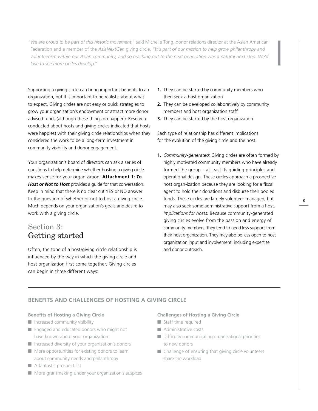"*We are proud to be part of this historic movement*," said Michelle Tong, donor relations director at the Asian American Federation and a member of the *AsiaNextGen* giving circle. "I*t's part of our mission to help grow philanthropy and volunteerism within our Asian community, and so reaching out to the next generation was a natural next step. We'd love to see more circles develop.*"

Supporting a giving circle can bring important benefits to an organization, but it is important to be realistic about what to expect. Giving circles are not easy or quick strategies to grow your organization's endowment or attract more donor advised funds (although these things do happen). Research conducted about hosts and giving circles indicated that hosts were happiest with their giving circle relationships when they considered the work to be a long-term investment in community visibility and donor engagement.

Your organization's board of directors can ask a series of questions to help determine whether hosting a giving circle makes sense for your organization. **[Attachment 1:](#page-11-0)** *To [Host or Not to Host](#page-11-0)* provides a guide for that conversation. Keep in mind that there is no clear cut YES or NO answer to the question of whether or not to host a giving circle. Much depends on your organization's goals and desire to work with a giving circle.

# Section 3: Getting started

Often, the tone of a host/giving circle relationship is influenced by the way in which the giving circle and host organization first come together. Giving circles can begin in three different ways:

- **1.** They can be started by community members who then seek a host organization
- **2.** They can be developed collaboratively by community members and host organization staff
- **3.** They can be started by the host organization

Each type of relationship has different implications for the evolution of the giving circle and the host.

**1.** *Community-generated:* Giving circles are often formed by highly motivated community members who have already formed the group – at least its guiding principles and operational design. These circles approach a prospective host organ-ization because they are looking for a fiscal agent to hold their donations and disburse their pooled funds. These circles are largely volunteer-managed, but may also seek some administrative support from a host. *Implications for hosts:* Because community-generated giving circles evolve from the passion and energy of community members, they tend to need less support from their host organization. They may also be less open to host organization input and involvement, including expertise and donor outreach.

# **BENEFITS AND CHALLENGES OF HOSTING A GIVING CIRCLE**

### **Benefits of Hosting a Giving Circle**

- Increased community visibility
- Engaged and educated donors who might not have known about your organization
- Increased diversity of your organization's donors
- More opportunities for existing donors to learn about community needs and philanthropy
- A fantastic prospect list
- More grantmaking under your organization's auspices

## **Challenges of Hosting a Giving Circle**

- Staff time required
- Administrative costs
- Difficulty communicating organizational priorities to new donors
- Challenge of ensuring that giving circle volunteers share the workload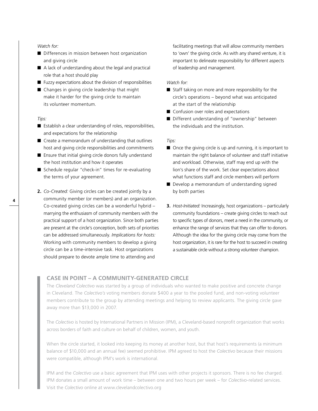#### *Watch for:*

- Differences in mission between host organization and giving circle
- A lack of understanding about the legal and practical role that a host should play
- $\blacksquare$  Fuzzy expectations about the division of responsibilities
- Changes in giving circle leadership that might make it harder for the giving circle to maintain its volunteer momentum.

#### *Tips:*

- Establish a clear understanding of roles, responsibilities, and expectations for the relationship
- Create a memorandum of understanding that outlines host and giving circle responsibilities and commitments
- Ensure that initial giving circle donors fully understand the host institution and how it operates
- Schedule regular "check-in" times for re-evaluating the terms of your agreement.
- **2.** *Co-Created:* Giving circles can be created jointly by a community member (or members) and an organization. Co-created giving circles can be a wonderful hybrid – marrying the enthusiasm of community members with the practical support of a host organization. Since both parties are present at the circle's conception, both sets of priorities can be addressed simultaneously. *Implications for hosts:* Working with community members to develop a giving circle can be a time-intensive task. Host organizations should prepare to devote ample time to attending and

facilitating meetings that will allow community members to 'own' the giving circle. As with any shared venture, it is important to delineate responsibility for different aspects of leadership and management.

## *Watch for:*

- Staff taking on more and more responsibility for the circle's operations – beyond what was anticipated at the start of the relationship
- Confusion over roles and expectations
- Different understanding of "ownership" between the individuals and the institution.

#### *Tips:*

- Once the giving circle is up and running, it is important to maintain the right balance of volunteer and staff initiative and workload. Otherwise, staff may end up with the lion's share of the work. Set clear expectations about what functions staff and circle members will perform
- Develop a memorandum of understanding signed by both parties
- **3.** *Host-Initiated:* Increasingly, host organizations particularly community foundations – create giving circles to reach out to specific types of donors, meet a need in the community, or enhance the range of services that they can offer to donors. Although the idea for the giving circle may come from the host organization, it is rare for the host to succeed in creating a sustainable circle without a strong volunteer champion.

### **CASE IN POINT – A COMMUNITY-GENERATED CIRCLE**

The *Cleveland Colectivo* was started by a group of individuals who wanted to make positive and concrete change in Cleveland. The *Colectivo's* voting members donate \$400 a year to the pooled fund, and non-voting volunteer members contribute to the group by attending meetings and helping to review applicants. The giving circle gave away more than \$13,000 in 2007.

The *Colectivo* is hosted by International Partners in Mission (IPM), a Cleveland-based nonprofit organization that works across borders of faith and culture on behalf of children, women, and youth.

When the circle started, it looked into keeping its money at another host, but that host's requirements (a minimum balance of \$10,000 and an annual fee) seemed prohibitive. IPM agreed to host the *Colectivo* because their missions were compatible, although IPM's work is international.

IPM and the *Colectivo* use a basic agreement that IPM uses with other projects it sponsors. There is no fee charged. IPM donates a small amount of work time – between one and two hours per week – for *Colectivo*-related services. Visit the *Colectivo* online at<www.clevelandcolectivo.org>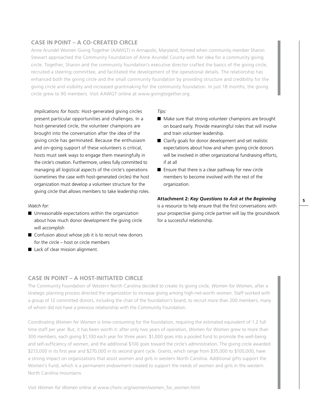# **CASE IN POINT – A CO-CREATED CIRCLE**

Anne Arundel Women Giving Together (AAWGT) in Annapolis, Maryland, formed when community member Sharon Stewart approached the Community Foundation of Anne Arundel County with her idea for a community giving circle. Together, Sharon and the community foundation's executive director crafted the basics of the giving circle, recruited a steering committee, and facilitated the development of the operational details. The relationship has enhanced both the giving circle and the small community foundation by providing structure and credibility for the giving circle and visibility and increased grantmaking for the community foundation. In just 18 months, the giving circle grew to 90 members. Visit AAWGT online at<www.givingtogether.org.>

*Implications for hosts:* Host-generated giving circles present particular opportunities and challenges. In a host-generated circle, the volunteer champions are brought into the conversation after the idea of the giving circle has germinated. Because the enthusiasm and on-going support of these volunteers is critical, hosts must seek ways to engage them meaningfully in the circle's creation. Furthermore, unless fully committed to managing all logistical aspects of the circle's operations (sometimes the case with host-generated circles) the host organization must develop a volunteer structure for the giving circle that allows members to take leadership roles.

## *Watch for:*

- Unreasonable expectations within the organization about how much donor development the giving circle will accomplish
- Confusion about whose job it is to recruit new donors for the circle – host or circle members
- Lack of clear mission alignment.

#### *Tips:*

- Make sure that strong volunteer champions are brought on board early. Provide meaningful roles that will involve and train volunteer leadership.
- Clarify goals for donor development and set realistic expectations about how and when giving circle donors will be involved in other organizational fundraising efforts, if at all
- Ensure that there is a clear pathway for new circle members to become involved with the rest of the organization.

#### **Attachment 2:** *[Key Questions to Ask at the Beginning](#page-15-0)*

is a resource to help ensure that the first conversations with your prospective giving circle partner will lay the groundwork for a successful relationship.

# **CASE IN POINT – A HOST-INITIATED CIRCLE**

The Community Foundation of Western North Carolina decided to create its giving circle, *Women for Women*, after a strategic planning process directed the organization to increase giving among high-net-worth women. Staff worked with a group of 12 committed donors, including the chair of the foundation's board, to recruit more than 200 members, many of whom did not have a previous relationship with the Community Foundation.

Coordinating *Women for Women* is time-consuming for the foundation, requiring the estimated equivalent of 1.2 full time staff per year. But, it has been worth it: after only two years of operation, *Women for Women* grew to more than 300 members, each giving \$1,100 each year for three years: \$1,000 goes into a pooled fund to promote the well-being and self-sufficiency of women, and the additional \$100 goes toward the circle's administration. The giving circle awarded \$213,000 in its first year and \$270,000 in its second grant cycle. Grants, which range from \$35,000 to \$100,000, have a strong impact on organizations that assist women and girls in western North Carolina. Additional gifts support the Women's Fund, which is a permanent endowment created to support the needs of women and girls in the western North Carolina mountains.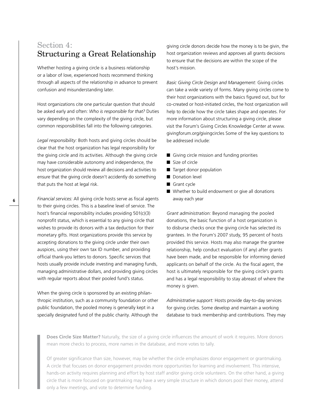# Section 4: Structuring a Great Relationship

Whether hosting a giving circle is a business relationship or a labor of love, experienced hosts recommend thinking through all aspects of the relationship in advance to prevent confusion and misunderstanding later.

Host organizations cite one particular question that should be asked early and often: *Who is responsible for that?* Duties vary depending on the complexity of the giving circle, but common responsibilities fall into the following categories.

*Legal responsibility:* Both hosts and giving circles should be clear that the host organization has legal responsibility for the giving circle and its activities. Although the giving circle may have considerable autonomy and independence, the host organization should review all decisions and activities to ensure that the giving circle doesn't accidently do something that puts the host at legal risk.

*Financial services:* All giving circle hosts serve as fiscal agents to their giving circles. This is a baseline level of service. The host's financial responsibility includes providing 501(c)(3) nonprofit status, which is essential to any giving circle that wishes to provide its donors with a tax deduction for their monetary gifts. Host organizations provide this service by accepting donations to the giving circle under their own auspices, using their own tax ID number, and providing official thank-you letters to donors. Specific services that hosts usually provide include investing and managing funds, managing administrative dollars, and providing giving circles with regular reports about their pooled fund's status.

When the giving circle is sponsored by an existing philanthropic institution, such as a community foundation or other public foundation, the pooled money is generally kept in a specially designated fund of the public charity. Although the giving circle donors decide how the money is to be givin, the host organization reviews and approves all grants decisions to ensure that the decisions are within the scope of the host's mission.

*Basic Giving Circle Design and Management:* Giving circles can take a wide variety of forms. Many giving circles come to their host organizations with the basics figured out, but for co-created or host-initiated circles, the host organization will help to decide how the circle takes shape and operates. For more information about structuring a giving circle, please visit the Forum's Giving Circles Knowledge Center at [www.](www.givingforum.org/givingcircles) [givingforum.org/givingcircles](www.givingforum.org/givingcircles) Some of the key questions to be addressed include:

- Giving circle mission and funding priorities
- Size of circle
- Target donor population
- Donation level
- Grant cycle
- Whether to build endowment or give all donations away each year

*Grant administration:* Beyond managing the pooled donations, the basic function of a host organization is to disburse checks once the giving circle has selected its grantees. In the Forum's 2007 study, 95 percent of hosts provided this service. Hosts may also manage the grantee relationship, help conduct evaluation (if any) after grants have been made, and be responsible for informing denied applicants on behalf of the circle. As the fiscal agent, the host is ultimately responsible for the giving circle's grants and has a legal responsibility to stay abreast of where the money is given.

*Administrative support:* Hosts provide day-to-day services for giving circles. Some develop and maintain a working database to track membership and contributions. They may

**Does Circle Size Matter?** Naturally, the size of a giving circle influences the amount of work it requires. More donors mean more checks to process, more names in the database, and more votes to tally.

Of greater significance than size, however, may be whether the circle emphasizes donor engagement or grantmaking. A circle that focuses on donor engagement provides more opportunities for learning and involvement. This intensive, hands-on activity requires planning and effort by host staff and/or giving circle volunteers. On the other hand, a giving circle that is more focused on grantmaking may have a very simple structure in which donors pool their money, attend only a few meetings, and vote to determine funding.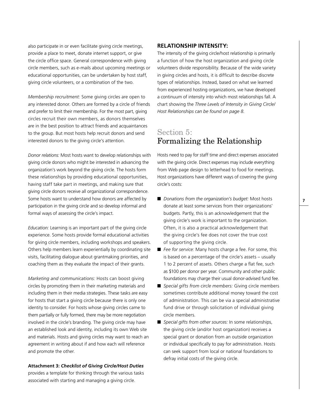also participate in or even facilitate giving circle meetings, provide a place to meet, donate internet support, or give the circle office space. General correspondence with giving circle members, such as e-mails about upcoming meetings or educational opportunities, can be undertaken by host staff, giving circle volunteers, or a combination of the two.

*Membership recruitment:* Some giving circles are open to any interested donor. Others are formed by a circle of friends and prefer to limit their membership. For the most part, giving circles recruit their own members, as donors themselves are in the best position to attract friends and acquaintances to the group. But most hosts help recruit donors and send interested donors to the giving circle's attention.

*Donor relations:* Most hosts want to develop relationships with giving circle donors who might be interested in advancing the organization's work beyond the giving circle. The hosts form these relationships by providing educational opportunities, having staff take part in meetings, and making sure that giving circle donors receive all organizational correspondence. Some hosts want to understand how donors are affected by participation in the giving circle and so develop informal and formal ways of assessing the circle's impact.

*Education:* Learning is an important part of the giving circle experience. Some hosts provide formal educational activities for giving circle members, including workshops and speakers. Others help members learn experientially by coordinating site visits, facilitating dialogue about grantmaking priorities, and coaching them as they evaluate the impact of their grants.

*Marketing and communications:* Hosts can boost giving circles by promoting them in their marketing materials and including them in their media strategies. These tasks are easy for hosts that start a giving circle because there is only one identity to consider. For hosts whose giving circles came to them partially or fully formed, there may be more negotiation involved in the circle's branding. The giving circle may have an established look and identity, including its own Web site and materials. Hosts and giving circles may want to reach an agreement in writing about if and how each will reference and promote the other.

#### **Attachment 3:** *[Checklist of Giving Circle/Host Duties](#page-17-0)*

provides a template for thinking through the various tasks associated with starting and managing a giving circle.

# **Relationship Intensity:**

The intensity of the giving circle/host relationship is primarily a function of how the host organization and giving circle volunteers divide responsibility. Because of the wide variety in giving circles and hosts, it is difficult to describe discrete types of relationships. Instead, based on what we learned from experienced hosting organizations, we have developed a continuum of intensity into which most relationships fall. A chart showing the *Three Levels of Intensity in Giving Circle/ Host Relationships can be found on page 8.*

# Section 5: Formalizing the Relationship

Hosts need to pay for staff time and direct expenses associated with the giving circle. Direct expenses may include everything from Web page design to letterhead to food for meetings. Host organizations have different ways of covering the giving circle's costs:

- *Donations from the organization's budget:* Most hosts donate at least some services from their organizations' budgets. Partly, this is an acknowledgement that the giving circle's work is important to the organization. Often, it is also a practical acknowledgement that the giving circle's fee does not cover the true cost of supporting the giving circle.
- Fee for service: Many hosts charge a fee. For some, this is based on a percentage of the circle's assets – usually 1 to 2 percent of assets. Others charge a flat fee, such as \$100 per donor per year. Community and other public foundations may charge their usual donor-advised fund fee.
- *Special gifts from circle members: Giving circle members* sometimes contribute additional money toward the cost of administration. This can be via a special administrative fund drive or through solicitation of individual giving circle members.
- *Special gifts from other sources:* In some relationships, the giving circle (and/or host organization) receives a special grant or donation from an outside organization or individual specifically to pay for administration. Hosts can seek support from local or national foundations to defray initial costs of the giving circle.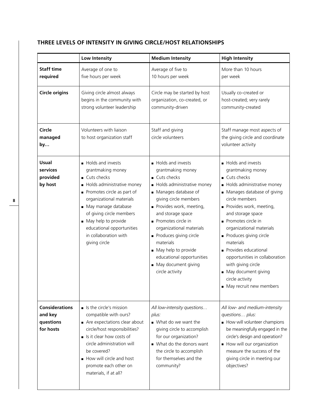# **Three Levels of Intensity in Giving Circle/Host Relationships**

|                                                            | Low Intensity                                                                                                                                                                                                                                                                                    | <b>Medium Intensity</b>                                                                                                                                                                                                                                                                                                                                                      | <b>High Intensity</b>                                                                                                                                                                                                                                                                                                                                                                                                                   |
|------------------------------------------------------------|--------------------------------------------------------------------------------------------------------------------------------------------------------------------------------------------------------------------------------------------------------------------------------------------------|------------------------------------------------------------------------------------------------------------------------------------------------------------------------------------------------------------------------------------------------------------------------------------------------------------------------------------------------------------------------------|-----------------------------------------------------------------------------------------------------------------------------------------------------------------------------------------------------------------------------------------------------------------------------------------------------------------------------------------------------------------------------------------------------------------------------------------|
| <b>Staff time</b><br>required                              | Average of one to<br>five hours per week                                                                                                                                                                                                                                                         | Average of five to<br>10 hours per week                                                                                                                                                                                                                                                                                                                                      | More than 10 hours<br>per week                                                                                                                                                                                                                                                                                                                                                                                                          |
| <b>Circle origins</b>                                      | Giving circle almost always<br>begins in the community with<br>strong volunteer leadership                                                                                                                                                                                                       | Circle may be started by host<br>organization, co-created, or<br>community-driven                                                                                                                                                                                                                                                                                            | Usually co-created or<br>host-created; very rarely<br>community-created                                                                                                                                                                                                                                                                                                                                                                 |
| Circle<br>managed<br>by                                    | Volunteers with liaison<br>to host organization staff                                                                                                                                                                                                                                            | Staff and giving<br>circle volunteers                                                                                                                                                                                                                                                                                                                                        | Staff manage most aspects of<br>the giving circle and coordinate<br>volunteer activity                                                                                                                                                                                                                                                                                                                                                  |
| <b>Usual</b><br>services<br>provided<br>by host            | Holds and invests<br>grantmaking money<br>■ Cuts checks<br>Holds administrative money<br>Promotes circle as part of<br>organizational materials<br>May manage database<br>of giving circle members<br>May help to provide<br>educational opportunities<br>in collaboration with<br>giving circle | Holds and invests<br>grantmaking money<br>■ Cuts checks<br>Holds administrative money<br>Manages database of<br>giving circle members<br>Provides work, meeting,<br>and storage space<br>Promotes circle in<br>organizational materials<br>Produces giving circle<br>materials<br>May help to provide<br>educational opportunities<br>May document giving<br>circle activity | Holds and invests<br>grantmaking money<br>■ Cuts checks<br>Holds administrative money<br>• Manages database of giving<br>circle members<br>Provides work, meeting,<br>and storage space<br>Promotes circle in<br>organizational materials<br>Produces giving circle<br>materials<br>Provides educational<br>opportunities in collaboration<br>with giving circle<br>May document giving<br>circle activity<br>• May recruit new members |
| <b>Considerations</b><br>and key<br>questions<br>for hosts | $\blacksquare$ Is the circle's mission<br>compatible with ours?<br>Are expectations clear about<br>circle/host responsibilities?<br>Is it clear how costs of<br>circle administration will<br>be covered?<br>How will circle and host<br>promote each other on<br>materials, if at all?          | All low-intensity questions<br>plus:<br>■ What do we want the<br>giving circle to accomplish<br>for our organization?<br>What do the donors want<br>the circle to accomplish<br>for themselves and the<br>community?                                                                                                                                                         | All low- and medium-intensity<br>questions plus:<br>How will volunteer champions<br>be meaningfully engaged in the<br>circle's design and operation?<br>How will our organization<br>measure the success of the<br>giving circle in meeting our<br>objectives?                                                                                                                                                                          |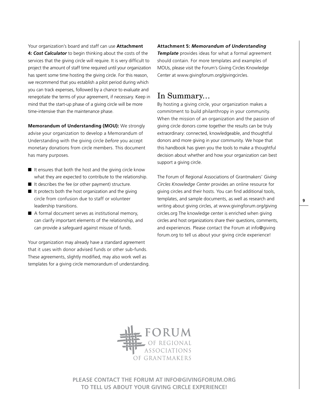Your organization's board and staff can use **[Attachment](#page-19-0)  4:** *[Cost Calculator](#page-19-0)* to begin thinking about the costs of the services that the giving circle will require. It is very difficult to project the amount of staff time required until your organization has spent some time hosting the giving circle. For this reason, we recommend that you establish a pilot period during which you can track expenses, followed by a chance to evaluate and renegotiate the terms of your agreement, if necessary. Keep in mind that the start-up phase of a giving circle will be more time-intensive than the maintenance phase.

**Memorandum of Understanding (MOU):** We strongly advise your organization to develop a Memorandum of Understanding with the giving circle *before* you accept monetary donations from circle members. This document has many purposes.

- $\blacksquare$  It ensures that both the host and the giving circle know what they are expected to contribute to the relationship.
- It describes the fee (or other payment) structure.
- It protects both the host organization and the giving circle from confusion due to staff or volunteer leadership transitions.
- A formal document serves as institutional memory, can clarify important elements of the relationship, and can provide a safeguard against misuse of funds.

Your organization may already have a standard agreement that it uses with donor advised funds or other sub-funds. These agreements, slightly modified, may also work well as templates for a giving circle memorandum of understanding.

**Attachment 5:** *[Memorandum of Understanding](#page-21-0)  [Template](#page-21-0)* provides ideas for what a formal agreement should contain. For more templates and examples of MOUs, please visit the Forum's Giving Circles Knowledge Center at<www.givingforum.org/givingcircles>.

# In Summary…

By hosting a giving circle, your organization makes a commitment to build philanthropy in your community. When the mission of an organization and the passion of giving circle donors come together the results can be truly extraordinary: connected, knowledgeable, and thoughtful donors and more giving in your community. We hope that this handbook has given you the tools to make a thoughtful decision about whether and how your organization can best support a giving circle.

The Forum of Regional Associations of Grantmakers' *Giving Circles Knowledge Center* provides an online resource for giving circles and their hosts. You can find additional tools, templates, and sample documents, as well as research and writing about giving circles, at [www.givingforum.org/giving](www.givingforum.org/givingcircles) [circles.org](www.givingforum.org/givingcircles) The knowledge center is enriched when giving circles and host organizations share their questions, comments, and experiences. Please contact the Forum at info@giving forum.org to tell us about your giving circle experience!



**Please contact the Forum at info@givingforum.org to tell us about your giving circle experience!**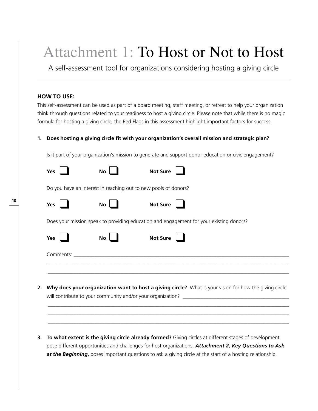# <span id="page-11-0"></span>Attachment 1: To Host or Not to Host

A self-assessment tool for organizations considering hosting a giving circle

# **HOW TO USE:**

This self-assessment can be used as part of a board meeting, staff meeting, or retreat to help your organization think through questions related to your readiness to host a giving circle. Please note that while there is no magic formula for hosting a giving circle, the Red Flags in this assessment highlight important factors for success.

# **1. Does hosting a giving circle fit with your organization's overall mission and strategic plan?**

Is it part of your organization's mission to generate and support donor education or civic engagement?

|    | Yes | No                                                              | <b>Not Sure</b> |                                                                                                        |
|----|-----|-----------------------------------------------------------------|-----------------|--------------------------------------------------------------------------------------------------------|
|    |     | Do you have an interest in reaching out to new pools of donors? |                 |                                                                                                        |
|    | Yes | No                                                              | <b>Not Sure</b> |                                                                                                        |
|    |     |                                                                 |                 | Does your mission speak to providing education and engagement for your existing donors?                |
|    | Yes | No                                                              | <b>Not Sure</b> |                                                                                                        |
|    |     |                                                                 |                 |                                                                                                        |
|    |     |                                                                 |                 |                                                                                                        |
| 2. |     |                                                                 |                 | Why does your organization want to host a giving circle? What is your vision for how the giving circle |
|    |     |                                                                 |                 |                                                                                                        |
|    |     |                                                                 |                 |                                                                                                        |

**3. To what extent is the giving circle already formed?** Giving circles at different stages of development pose different opportunities and challenges for host organizations. *[Attachment 2, Key Questions to Ask](#page-15-0)  [at the Beginning](#page-15-0)***,** poses important questions to ask a giving circle at the start of a hosting relationship.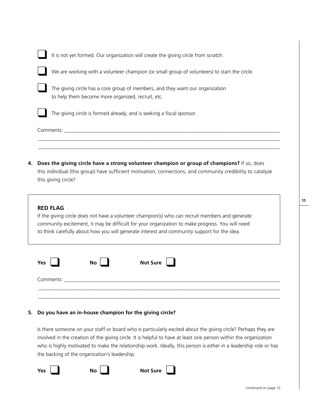|    | It is not yet formed. Our organization will create the giving circle from scratch.                                                                                                                                               |
|----|----------------------------------------------------------------------------------------------------------------------------------------------------------------------------------------------------------------------------------|
|    | We are working with a volunteer champion (or small group of volunteers) to start the circle.                                                                                                                                     |
|    | The giving circle has a core group of members, and they want our organization<br>to help them become more organized, recruit, etc.                                                                                               |
|    | The giving circle is formed already, and is seeking a fiscal sponsor.                                                                                                                                                            |
|    | Comments: with the comments of the comments of the comments of the comments of the comments of the comments of the comments of the comments of the comments of the comments of the comments of the comments of the comments of   |
|    |                                                                                                                                                                                                                                  |
| 4. | Does the giving circle have a strong volunteer champion or group of champions? If so, does<br>this individual (this group) have sufficient motivation, connections, and community credibility to catalyze<br>this giving circle? |

# **RED FLAG**

If the giving circle does not have a volunteer champion(s) who can recruit members and generate community excitement, it may be difficult for your organization to make progress. You will need to think carefully about how you will generate interest and community support for the idea.

| Yes       | No                                                                                                                   | Not Sure $\boxed{\phantom{a}}$ |  |
|-----------|----------------------------------------------------------------------------------------------------------------------|--------------------------------|--|
| Comments: | <u> 1980 - Jan Stein Stein Stein Stein Stein Stein Stein Stein Stein Stein Stein Stein Stein Stein Stein Stein S</u> |                                |  |
|           |                                                                                                                      |                                |  |

# **5. Do you have an in-house champion for the giving circle?**

Is there someone on your staff or board who is particularly excited about the giving circle? Perhaps they are involved in the creation of the giving circle. It is helpful to have at least one person within the organization who is highly motivated to make the relationship work. Ideally, this person is either in a leadership role or has the backing of the organization's leadership.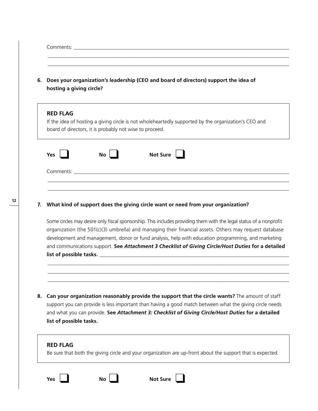|    | Comments: the comments of the community of the community of the community of the community of the community of the community of the community of the community of the community of the community of the community of the commu                                                                                                                                                                                                           |  |  |  |  |
|----|------------------------------------------------------------------------------------------------------------------------------------------------------------------------------------------------------------------------------------------------------------------------------------------------------------------------------------------------------------------------------------------------------------------------------------------|--|--|--|--|
| 6. | Does your organization's leadership (CEO and board of directors) support the idea of<br>hosting a giving circle?                                                                                                                                                                                                                                                                                                                         |  |  |  |  |
|    | <b>RED FLAG</b><br>If the idea of hosting a giving circle is not wholeheartedly supported by the organization's CEO and<br>board of directors, it is probably not wise to proceed.                                                                                                                                                                                                                                                       |  |  |  |  |
|    | <b>Not Sure</b><br><b>Yes</b><br>No                                                                                                                                                                                                                                                                                                                                                                                                      |  |  |  |  |
|    |                                                                                                                                                                                                                                                                                                                                                                                                                                          |  |  |  |  |
|    |                                                                                                                                                                                                                                                                                                                                                                                                                                          |  |  |  |  |
|    | What kind of support does the giving circle want or need from your organization?                                                                                                                                                                                                                                                                                                                                                         |  |  |  |  |
|    | list of possible tasks. The contract of the contract of the contract of the contract of the contract of the co                                                                                                                                                                                                                                                                                                                           |  |  |  |  |
| 7. | Some circles may desire only fiscal sponsorship. This includes providing them with the legal status of a nonprofit<br>organization (the 501(c)(3) umbrella) and managing their financial assets. Others may request database<br>development and management, donor or fund analysis, help with education programming, and marketing<br>and communications support. See Attachment 3 Checklist of Giving Circle/Host Duties for a detailed |  |  |  |  |
| 8. | Can your organization reasonably provide the support that the circle wants? The amount of staff<br>support you can provide is less important than having a good match between what the giving circle needs<br>and what you can provide. See Attachment 3: Checklist of Giving Circle/Host Duties for a detailed<br>list of possible tasks.                                                                                               |  |  |  |  |

 $\overline{a}$ 

**12**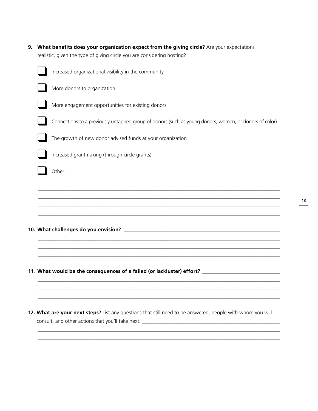| 9. What benefits does your organization expect from the giving circle? Are your expectations |
|----------------------------------------------------------------------------------------------|
| realistic, given the type of giving circle you are considering hosting?                      |

| Increased organizational visibility in the community                                                    |
|---------------------------------------------------------------------------------------------------------|
| More donors to organization                                                                             |
| More engagement opportunities for existing donors                                                       |
| Connections to a previously untapped group of donors (such as young donors, women, or donors of color). |
| The growth of new donor advised funds at your organization                                              |
| Increased grantmaking (through circle grants)                                                           |
| Other                                                                                                   |
|                                                                                                         |
|                                                                                                         |
|                                                                                                         |
| 11. What would be the consequences of a failed (or lackluster) effort? _____________________________    |
|                                                                                                         |

**12. What are your next steps?** List any questions that still need to be answered, people with whom you will consult, and other actions that you'll take next. **\_\_\_\_\_\_\_\_\_\_\_\_\_\_\_\_\_\_\_\_\_\_\_\_\_\_\_\_\_\_\_\_\_\_\_\_\_\_\_\_\_\_\_\_\_\_\_\_\_\_\_\_\_**

**\_\_\_\_\_\_\_\_\_\_\_\_\_\_\_\_\_\_\_\_\_\_\_\_\_\_\_\_\_\_\_\_\_\_\_\_\_\_\_\_\_\_\_\_\_\_\_\_\_\_\_\_\_\_\_\_\_\_\_\_\_\_\_\_\_\_\_\_\_\_\_\_\_\_\_\_\_\_\_\_\_\_\_\_\_\_\_\_\_\_\_\_\_ \_\_\_\_\_\_\_\_\_\_\_\_\_\_\_\_\_\_\_\_\_\_\_\_\_\_\_\_\_\_\_\_\_\_\_\_\_\_\_\_\_\_\_\_\_\_\_\_\_\_\_\_\_\_\_\_\_\_\_\_\_\_\_\_\_\_\_\_\_\_\_\_\_\_\_\_\_\_\_\_\_\_\_\_\_\_\_\_\_\_\_\_\_ \_\_\_\_\_\_\_\_\_\_\_\_\_\_\_\_\_\_\_\_\_\_\_\_\_\_\_\_\_\_\_\_\_\_\_\_\_\_\_\_\_\_\_\_\_\_\_\_\_\_\_\_\_\_\_\_\_\_\_\_\_\_\_\_\_\_\_\_\_\_\_\_\_\_\_\_\_\_\_\_\_\_\_\_\_\_\_\_\_\_\_\_\_**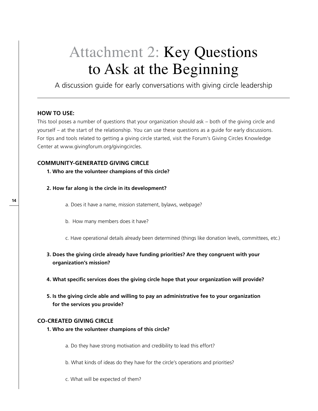# <span id="page-15-0"></span>Attachment 2: Key Questions to Ask at the Beginning

A discussion guide for early conversations with giving circle leadership

# **HOW TO USE:**

This tool poses a number of questions that your organization should ask – both of the giving circle and yourself – at the start of the relationship. You can use these questions as a guide for early discussions. For tips and tools related to getting a giving circle started, visit the Forum's Giving Circles Knowledge Center at <www.givingforum.org/givingcircles>.

# **Community-Generated Giving Circle**

- **1. Who are the volunteer champions of this circle?**
- **2. How far along is the circle in its development?**
	- a. Does it have a name, mission statement, bylaws, webpage?
	- b. How many members does it have?

c. Have operational details already been determined (things like donation levels, committees, etc.)

- **3. Does the giving circle already have funding priorities? Are they congruent with your organization's mission?**
- **4. What specific services does the giving circle hope that your organization will provide?**
- **5. Is the giving circle able and willing to pay an administrative fee to your organization for the services you provide?**

# **Co-Created Giving Circle**

- **1. Who are the volunteer champions of this circle?** 
	- a. Do they have strong motivation and credibility to lead this effort?
	- b. What kinds of ideas do they have for the circle's operations and priorities?
	- c. What will be expected of them?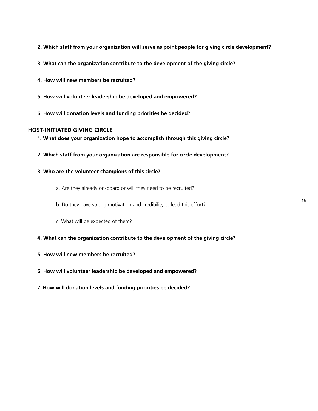- **2. Which staff from your organization will serve as point people for giving circle development?**
- **3. What can the organization contribute to the development of the giving circle?**
- **4. How will new members be recruited?**
- **5. How will volunteer leadership be developed and empowered?**
- **6. How will donation levels and funding priorities be decided?**

## **Host-Initiated Giving Circle**

- **1. What does your organization hope to accomplish through this giving circle?**
- **2. Which staff from your organization are responsible for circle development?**
- **3. Who are the volunteer champions of this circle?** 
	- a. Are they already on-board or will they need to be recruited?
	- b. Do they have strong motivation and credibility to lead this effort?
	- c. What will be expected of them?
- **4. What can the organization contribute to the development of the giving circle?**
- **5. How will new members be recruited?**
- **6. How will volunteer leadership be developed and empowered?**
- **7. How will donation levels and funding priorities be decided?**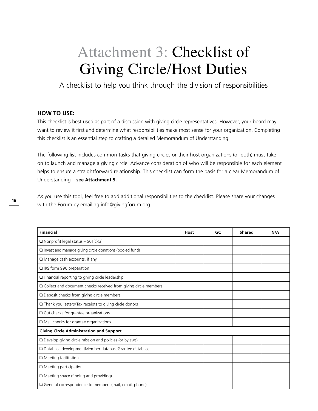# <span id="page-17-0"></span>Attachment 3: Checklist of Giving Circle/Host Duties

A checklist to help you think through the division of responsibilities

# **HOW TO USE:**

This checklist is best used as part of a discussion with giving circle representatives. However, your board may want to review it first and determine what responsibilities make most sense for your organization. Completing this checklist is an essential step to crafting a detailed Memorandum of Understanding.

The following list includes common tasks that giving circles or their host organizations (or both) must take on to launch and manage a giving circle. Advance consideration of who will be responsible for each element helps to ensure a straightforward relationship. This checklist can form the basis for a clear Memorandum of Understanding – **[see Attachment 5.](#page-21-0)**

As you use this tool, feel free to add additional responsibilities to the checklist. Please share your changes with the Forum by emailing info@givingforum.org.

| <b>Financial</b>                                                  | Host | GC | <b>Shared</b> | N/A |
|-------------------------------------------------------------------|------|----|---------------|-----|
| $\Box$ Nonprofit legal status - 501(c)(3)                         |      |    |               |     |
| I Invest and manage giving circle donations (pooled fund)         |      |    |               |     |
| $\Box$ Manage cash accounts, if any                               |      |    |               |     |
| □ IRS form 990 preparation                                        |      |    |               |     |
| Financial reporting to giving circle leadership                   |      |    |               |     |
| □ Collect and document checks received from giving circle members |      |    |               |     |
| $\Box$ Deposit checks from giving circle members                  |      |    |               |     |
| Thank you letters/Tax receipts to giving circle donors            |      |    |               |     |
| $\Box$ Cut checks for grantee organizations                       |      |    |               |     |
| $\Box$ Mail checks for grantee organizations                      |      |    |               |     |
| <b>Giving Circle Administration and Support</b>                   |      |    |               |     |
| Develop giving circle mission and policies (or bylaws)            |      |    |               |     |
| □ Database developmentMember databaseGrantee database             |      |    |               |     |
| $\Box$ Meeting facilitation                                       |      |    |               |     |
| $\Box$ Meeting participation                                      |      |    |               |     |
| $\Box$ Meeting space (finding and providing)                      |      |    |               |     |
| $\Box$ General correspondence to members (mail, email, phone)     |      |    |               |     |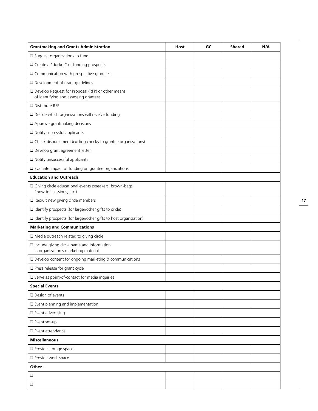| <b>Grantmaking and Grants Administration</b>                                               | <b>Host</b> | GC | <b>Shared</b> | N/A |
|--------------------------------------------------------------------------------------------|-------------|----|---------------|-----|
| □ Suggest organizations to fund                                                            |             |    |               |     |
| □ Create a "docket" of funding prospects                                                   |             |    |               |     |
| $\Box$ Communication with prospective grantees                                             |             |    |               |     |
| □ Development of grant guidelines                                                          |             |    |               |     |
| Develop Request for Proposal (RFP) or other means<br>of identifying and assessing grantees |             |    |               |     |
| Distribute RFP                                                                             |             |    |               |     |
| Decide which organizations will receive funding                                            |             |    |               |     |
| Approve grantmaking decisions                                                              |             |    |               |     |
| Notify successful applicants                                                               |             |    |               |     |
| O Check disbursement (cutting checks to grantee organizations)                             |             |    |               |     |
| □ Develop grant agreement letter                                                           |             |    |               |     |
| Notify unsuccessful applicants                                                             |             |    |               |     |
| Evaluate impact of funding on grantee organizations                                        |             |    |               |     |
| <b>Education and Outreach</b>                                                              |             |    |               |     |
| □ Giving circle educational events (speakers, brown-bags,<br>"how to" sessions, etc.)      |             |    |               |     |
| Recruit new giving circle members                                                          |             |    |               |     |
| I Identify prospects (for larger/other gifts to circle)                                    |             |    |               |     |
| I Identify prospects (for larger/other gifts to host organization)                         |             |    |               |     |
| <b>Marketing and Communications</b>                                                        |             |    |               |     |
| Media outreach related to giving circle                                                    |             |    |               |     |
| Include giving circle name and information<br>in organization's marketing materials        |             |    |               |     |
| □ Develop content for ongoing marketing & communications                                   |             |    |               |     |
| $\Box$ Press release for grant cycle                                                       |             |    |               |     |
| Serve as point-of-contact for media inquiries                                              |             |    |               |     |
| <b>Special Events</b>                                                                      |             |    |               |     |
| Design of events                                                                           |             |    |               |     |
| $\square$ Event planning and implementation                                                |             |    |               |     |
| $\square$ Event advertising                                                                |             |    |               |     |
| Event set-up                                                                               |             |    |               |     |
| □ Event attendance                                                                         |             |    |               |     |
| <b>Miscellaneous</b>                                                                       |             |    |               |     |
| Provide storage space                                                                      |             |    |               |     |
| Provide work space                                                                         |             |    |               |     |
| Other                                                                                      |             |    |               |     |
| $\Box$                                                                                     |             |    |               |     |
| $\Box$                                                                                     |             |    |               |     |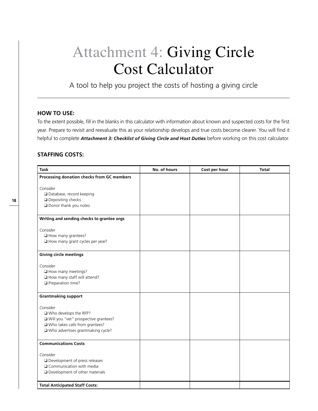# <span id="page-19-0"></span>Attachment 4: Giving Circle Cost Calculator

A tool to help you project the costs of hosting a giving circle

# **HOW TO USE:**

To the extent possible, fill in the blanks in this calculator with information about known and suspected costs for the first year. Prepare to revisit and reevaluate this as your relationship develops and true costs become clearer. You will find it helpful to complete *[Attachment 3: Checklist of Giving Circle and Host Duties](#page-17-0)* before working on this cost calculator.

# **Staffing Costs:**

| <b>Task</b>                                | No. of hours | Cost per hour | <b>Total</b> |
|--------------------------------------------|--------------|---------------|--------------|
| Processing donation checks from GC members |              |               |              |
|                                            |              |               |              |
| Consider                                   |              |               |              |
| Database, record keeping                   |              |               |              |
| Depositing checks                          |              |               |              |
| Donor thank you notes                      |              |               |              |
| Writing and sending checks to grantee orgs |              |               |              |
| Consider                                   |              |               |              |
| How many grantees?                         |              |               |              |
| How many grant cycles per year?            |              |               |              |
|                                            |              |               |              |
| <b>Giving circle meetings</b>              |              |               |              |
| Consider                                   |              |               |              |
| How many meetings?                         |              |               |              |
| How many staff will attend?                |              |               |              |
| Preparation time?                          |              |               |              |
|                                            |              |               |              |
| <b>Grantmaking support</b>                 |              |               |              |
| Consider                                   |              |               |              |
| □ Who develops the RFP?                    |              |               |              |
| □ Will you "vet" prospective grantees?     |              |               |              |
| □ Who takes calls from grantees?           |              |               |              |
| □ Who advertises grantmaking cycle?        |              |               |              |
|                                            |              |               |              |
| <b>Communications Costs</b>                |              |               |              |
|                                            |              |               |              |
| Consider                                   |              |               |              |
| Development of press releases              |              |               |              |
| $\Box$ Communication with media            |              |               |              |
| $\square$ Development of other materials   |              |               |              |
| <b>Total Anticipated Staff Costs:</b>      |              |               |              |
|                                            |              |               |              |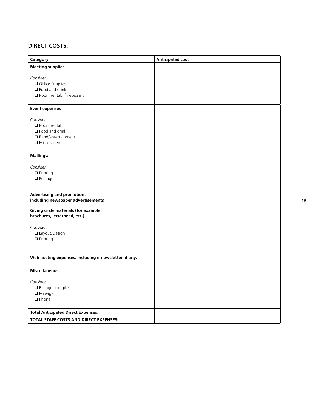# **Direct Costs:**

| Category                                                              | <b>Anticipated cost</b> |
|-----------------------------------------------------------------------|-------------------------|
| <b>Meeting supplies</b>                                               |                         |
| Consider                                                              |                         |
|                                                                       |                         |
| $\Box$ Office Supplies                                                |                         |
| $\Box$ Food and drink                                                 |                         |
| $\square$ Room rental, if necessary                                   |                         |
| <b>Event expenses</b>                                                 |                         |
| Consider                                                              |                         |
| Room rental                                                           |                         |
| $\Box$ Food and drink                                                 |                         |
| $\square$ Band/entertainment                                          |                         |
| $\Box$ Miscellaneous                                                  |                         |
|                                                                       |                         |
| <b>Mailings:</b>                                                      |                         |
| Consider                                                              |                         |
| $\Box$ Printing                                                       |                         |
| $\Box$ Postage                                                        |                         |
|                                                                       |                         |
| Advertising and promotion,<br>including newspaper advertisements      |                         |
| Giving circle materials (for example,<br>brochures, letterhead, etc.) |                         |
| Consider                                                              |                         |
| □ Layout/Design                                                       |                         |
| $\Box$ Printing                                                       |                         |
|                                                                       |                         |
| Web hosting expenses, including e-newsletter, if any.                 |                         |
| <b>Miscellaneous:</b>                                                 |                         |
| Consider                                                              |                         |
| $\square$ Recognition gifts                                           |                         |
| □ Mileage                                                             |                         |
| $\Box$ Phone                                                          |                         |
|                                                                       |                         |
| <b>Total Anticipated Direct Expenses:</b>                             |                         |
| TOTAL STAFF COSTS AND DIRECT EXPENSES:                                |                         |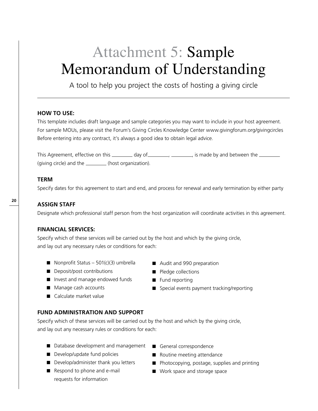# <span id="page-21-0"></span>Attachment 5: Sample Memorandum of Understanding

A tool to help you project the costs of hosting a giving circle

# **HOW TO USE:**

This template includes draft language and sample categories you may want to include in your host agreement. For sample MOUs, please visit the Forum's Giving Circles Knowledge Center <www.givingforum.org/givingcircles> Before entering into any contract, it's always a good idea to obtain legal advice.

This Agreement, effective on this \_\_\_\_\_\_\_\_\_ day of \_\_\_\_\_\_\_\_\_, \_\_\_\_\_\_\_\_, is made by and between the \_\_\_\_\_\_\_\_ (giving circle) and the \_\_\_\_\_\_\_\_(host organization).

# **Term**

Specify dates for this agreement to start and end, and process for renewal and early termination by either party

# **Assign Staff**

Designate which professional staff person from the host organization will coordinate activities in this agreement.

# **Financial Services:**

Specify which of these services will be carried out by the host and which by the giving circle, and lay out any necessary rules or conditions for each:

- Nonprofit Status 501(c)(3) umbrella
- **n** Deposit/post contributions
- Invest and manage endowed funds
- Manage cash accounts
- Calculate market value
- Audit and 990 preparation
- **n** Pledge collections
- Fund reporting
- Special events payment tracking/reporting
- **Fund Administration and Support**

Specify which of these services will be carried out by the host and which by the giving circle, and lay out any necessary rules or conditions for each:

- Database development and management
- Develop/update fund policies
- Develop/administer thank you letters
- Respond to phone and e-mail requests for information
- General correspondence
- $\blacksquare$  Routine meeting attendance
- $\blacksquare$  Photocopying, postage, supplies and printing
- Work space and storage space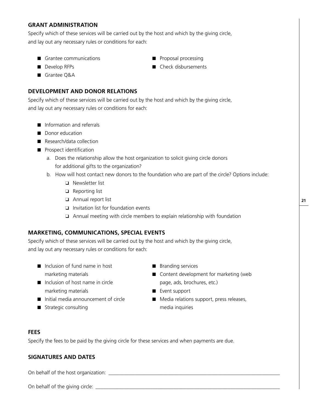# **Grant Administration**

Specify which of these services will be carried out by the host and which by the giving circle, and lay out any necessary rules or conditions for each:

- Grantee communications
- 
- Develop RFPs
- Grantee Q&A

# **Development and Donor Relations**

Specify which of these services will be carried out by the host and which by the giving circle, and lay out any necessary rules or conditions for each:

- $\blacksquare$  Information and referrals
- Donor education
- Research/data collection
- **n** Prospect identification
	- a. Does the relationship allow the host organization to solicit giving circle donors for additional gifts to the organization?
	- b. How will host contact new donors to the foundation who are part of the circle? Options include:
		- **Q** Newsletter list
		- $\Box$  Reporting list
		- Annual report list
		- $\Box$  Invitation list for foundation events
		- $\Box$  Annual meeting with circle members to explain relationship with foundation

# **Marketing, Communications, Special Events**

Specify which of these services will be carried out by the host and which by the giving circle, and lay out any necessary rules or conditions for each:

- $\blacksquare$  Inclusion of fund name in host marketing materials
- $\blacksquare$  Inclusion of host name in circle marketing materials
- $\blacksquare$  Initial media announcement of circle
- **n** Strategic consulting
- $\blacksquare$  Branding services
- $\blacksquare$  Content development for marketing (web page, ads, brochures, etc.)
- **n** Event support
- Media relations support, press releases, media inquiries

# **Fees**

Specify the fees to be paid by the giving circle for these services and when payments are due.

# **Signatures and Dates**

On behalf of the host organization: \_\_\_\_\_\_\_\_\_\_\_\_\_\_\_\_\_\_\_\_\_\_\_\_\_\_\_\_\_\_\_\_\_\_\_\_\_\_\_\_\_\_\_\_\_\_\_\_\_\_\_\_\_\_\_\_\_\_\_\_\_\_\_\_\_\_

On behalf of the giving circle: \_\_\_\_\_\_\_\_\_\_\_\_\_\_\_\_\_\_\_\_\_\_\_\_\_\_\_\_\_\_\_\_\_\_\_\_\_\_\_\_\_\_\_\_\_\_\_\_\_\_\_\_\_\_\_\_\_\_\_\_\_\_\_\_\_\_\_\_\_\_\_

**21**

- $\blacksquare$  Proposal processing
- Check disbursements